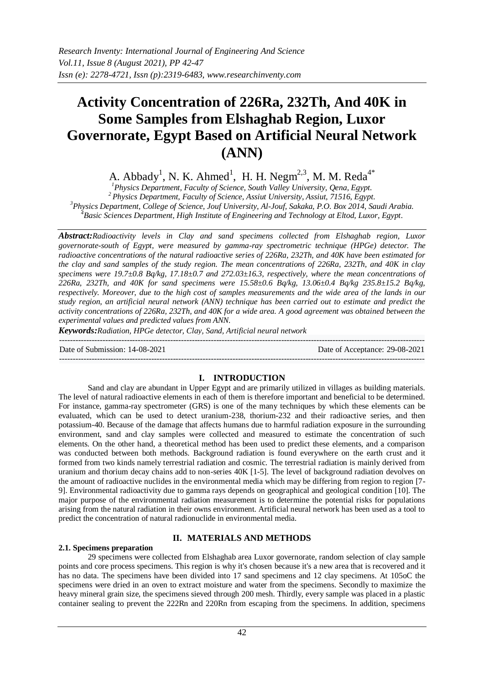# **Activity Concentration of 226Ra, 232Th, And 40K in Some Samples from Elshaghab Region, Luxor Governorate, Egypt Based on Artificial Neural Network (ANN)**

A. Abbady<sup>1</sup>, N. K. Ahmed<sup>1</sup>, H. H. Negm<sup>2,3</sup>, M. M. Reda<sup>4\*</sup>

*<sup>1</sup>Physics Department, Faculty of Science, South Valley University, Qena, Egypt.*

*<sup>2</sup>Physics Department, Faculty of Science, Assiut University, Assiut, 71516, Egypt.*

*<sup>3</sup>Physics Department, College of Science, Jouf University, Al-Jouf, Sakaka, P.O. Box 2014, Saudi Arabia. <sup>4</sup>Basic Sciences Department, High Institute of Engineering and Technology at Eltod, Luxor, Egypt.*

*Abstract:Radioactivity levels in Clay and sand specimens collected from Elshaghab region, Luxor governorate-south of Egypt, were measured by gamma-ray spectrometric technique (HPGe) detector. The radioactive concentrations of the natural radioactive series of 226Ra, 232Th, and 40K have been estimated for the clay and sand samples of the study region. The mean concentrations of 226Ra, 232Th, and 40K in clay specimens were 19.7±0.8 Bq/kg, 17.18±0.7 and 272.03±16.3, respectively, where the mean concentrations of 226Ra, 232Th, and 40K for sand specimens were 15.58±0.6 Bq/kg, 13.06±0.4 Bq/kg 235.8±15.2 Bq/kg, respectively. Moreover, due to the high cost of samples measurements and the wide area of the lands in our study region, an artificial neural network (ANN) technique has been carried out to estimate and predict the activity concentrations of 226Ra, 232Th, and 40K for a wide area. A good agreement was obtained between the experimental values and predicted values from ANN.*

*Keywords:Radiation, HPGe detector, Clay, Sand, Artificial neural network*

Date of Submission: 14-08-2021 Date of Acceptance: 29-08-2021

---------------------------------------------------------------------------------------------------------------------------------------

# **I. INTRODUCTION**

---------------------------------------------------------------------------------------------------------------------------------------

Sand and clay are abundant in Upper Egypt and are primarily utilized in villages as building materials. The level of natural radioactive elements in each of them is therefore important and beneficial to be determined. For instance, gamma-ray spectrometer (GRS) is one of the many techniques by which these elements can be evaluated, which can be used to detect uranium-238, thorium-232 and their radioactive series, and then potassium-40. Because of the damage that affects humans due to harmful radiation exposure in the surrounding environment, sand and clay samples were collected and measured to estimate the concentration of such elements. On the other hand, a theoretical method has been used to predict these elements, and a comparison was conducted between both methods. Background radiation is found everywhere on the earth crust and it formed from two kinds namely terrestrial radiation and cosmic. The terrestrial radiation is mainly derived from uranium and thorium decay chains add to non-series 40K [1-5]. The level of background radiation devolves on the amount of radioactive nuclides in the environmental media which may be differing from region to region [7- 9]. Environmental radioactivity due to gamma rays depends on geographical and geological condition [10]. The major purpose of the environmental radiation measurement is to determine the potential risks for populations arising from the natural radiation in their owns environment. Artificial neural network has been used as a tool to predict the concentration of natural radionuclide in environmental media.

# **II. MATERIALS AND METHODS**

## **2.1. Specimens preparation**

29 specimens were collected from Elshaghab area Luxor governorate, random selection of clay sample points and core process specimens. This region is why it's chosen because it's a new area that is recovered and it has no data. The specimens have been divided into 17 sand specimens and 12 clay specimens. At 105oC the specimens were dried in an oven to extract moisture and water from the specimens. Secondly to maximize the heavy mineral grain size, the specimens sieved through 200 mesh. Thirdly, every sample was placed in a plastic container sealing to prevent the 222Rn and 220Rn from escaping from the specimens. In addition, specimens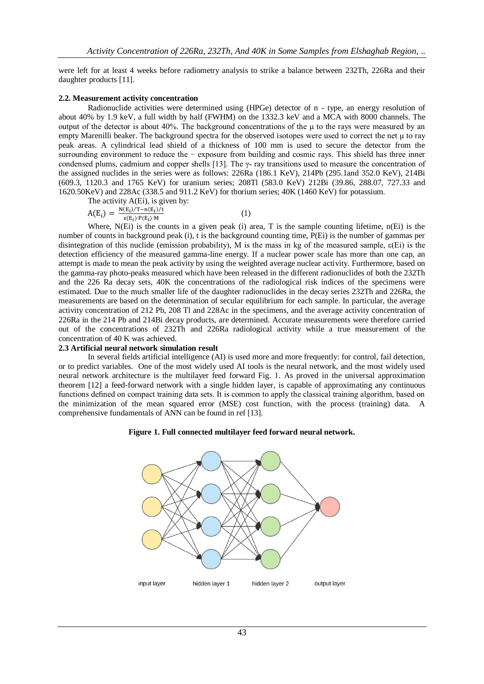were left for at least 4 weeks before radiometry analysis to strike a balance between 232Th, 226Ra and their daughter products [11].

## **2.2. Measurement activity concentration**

Radionuclide activities were determined using (HPGe) detector of n - type, an energy resolution of about 40% by 1.9 keV, a full width by half (FWHM) on the 1332.3 keV and a MCA with 8000 channels. The output of the detector is about 40%. The background concentrations of the μ to the rays were measured by an empty Marenilli beaker. The background spectra for the observed isotopes were used to correct the net μ to ray peak areas. A cylindrical lead shield of a thickness of 100 mm is used to secure the detector from the surrounding environment to reduce the − exposure from building and cosmic rays. This shield has three inner condensed plums, cadmium and copper shells [13]. The  $\gamma$ - ray transitions used to measure the concentration of the assigned nuclides in the series were as follows: 226Ra (186.1 KeV), 214Pb (295.1and 352.0 KeV), 214Bi (609.3, 1120.3 and 1765 KeV) for uranium series; 208Tl (583.0 KeV) 212Bi (39.86, 288.07, 727.33 and 1620.50KeV) and 228Ac (338.5 and 911.2 KeV) for thorium series; 40K (1460 KeV) for potassium.

(1)

The activity A(Ei), is given by:

 $A(E_i) = \frac{N(E_i)/T - n(E_i)}{N(E_i)N(E_i)N(E_i)}$  $\epsilon(E_i) \cdot P(E_i)$ 

Where, N(Ei) is the counts in a given peak (i) area, T is the sample counting lifetime, n(Ei) is the number of counts in background peak (i), t is the background counting time, P(Ei) is the number of gammas per disintegration of this nuclide (emission probability), M is the mass in kg of the measured sample, ε(Ei) is the detection efficiency of the measured gamma-line energy. If a nuclear power scale has more than one cap, an attempt is made to mean the peak activity by using the weighted average nuclear activity. Furthermore, based on the gamma-ray photo-peaks measured which have been released in the different radionuclides of both the 232Th and the 226 Ra decay sets, 40K the concentrations of the radiological risk indices of the specimens were estimated. Due to the much smaller life of the daughter radionuclides in the decay series 232Th and 226Ra, the measurements are based on the determination of secular equilibrium for each sample. In particular, the average activity concentration of 212 Pb, 208 Tl and 228Ac in the specimens, and the average activity concentration of 226Ra in the 214 Pb and 214Bi decay products, are determined. Accurate measurements were therefore carried out of the concentrations of 232Th and 226Ra radiological activity while a true measurement of the concentration of 40 K was achieved.

## **2.3 Artificial neural network simulation result**

In several fields artificial intelligence (AI) is used more and more frequently: for control, fail detection, or to predict variables. One of the most widely used AI tools is the neural network, and the most widely used neural network architecture is the multilayer feed forward Fig. 1. As proved in the universal approximation theorem [12] a feed-forward network with a single hidden layer, is capable of approximating any continuous functions defined on compact training data sets. It is common to apply the classical training algorithm, based on the minimization of the mean squared error (MSE) cost function, with the process (training) data. A comprehensive fundamentals of ANN can be found in ref [13].

### **Figure 1. Full connected multilayer feed forward neural network.**

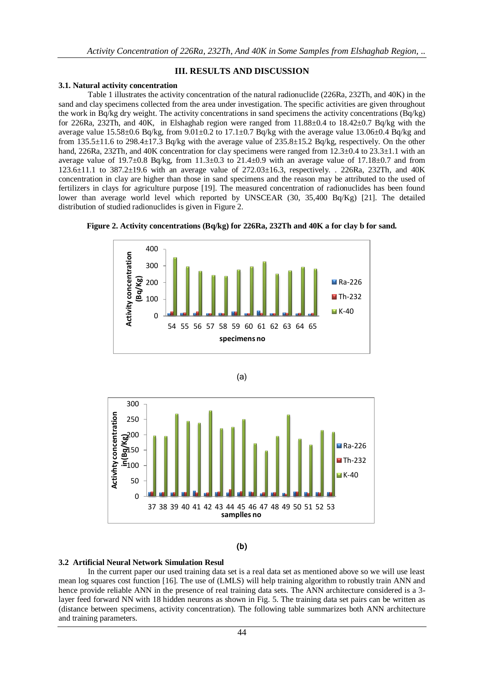## **III. RESULTS AND DISCUSSION**

## **3.1. Natural activity concentration**

Table 1 illustrates the activity concentration of the natural radionuclide (226Ra, 232Th, and 40K) in the sand and clay specimens collected from the area under investigation. The specific activities are given throughout the work in Bq/kg dry weight. The activity concentrations in sand specimens the activity concentrations (Bq/kg) for 226Ra, 232Th, and 40K, in Elshaghab region were ranged from 11.88±0.4 to 18.42±0.7 Bq/kg with the average value  $15.58\pm0.6$  Bq/kg, from  $9.01\pm0.2$  to  $17.1\pm0.7$  Bq/kg with the average value  $13.06\pm0.4$  Bq/kg and from 135.5 $\pm$ 11.6 to 298.4 $\pm$ 17.3 Bq/kg with the average value of 235.8 $\pm$ 15.2 Bq/kg, respectively. On the other hand, 226Ra, 232Th, and 40K concentration for clay specimens were ranged from  $12.3\pm0.4$  to  $23.3\pm1.1$  with an average value of  $19.7\pm0.8$  Bq/kg, from  $11.3\pm0.3$  to  $21.4\pm0.9$  with an average value of  $17.18\pm0.7$  and from 123.6±11.1 to 387.2±19.6 with an average value of 272.03±16.3, respectively. . 226Ra, 232Th, and 40K concentration in clay are higher than those in sand specimens and the reason may be attributed to the used of fertilizers in clays for agriculture purpose [19]. The measured concentration of radionuclides has been found lower than average world level which reported by UNSCEAR (30, 35,400 Bq/Kg) [21]. The detailed distribution of studied radionuclides is given in Figure 2.









## **(b)**

## **3.2 Artificial Neural Network Simulation Resul**

In the current paper our used training data set is a real data set as mentioned above so we will use least mean log squares cost function [16]. The use of (LMLS) will help training algorithm to robustly train ANN and hence provide reliable ANN in the presence of real training data sets. The ANN architecture considered is a 3 layer feed forward NN with 18 hidden neurons as shown in Fig. 5. The training data set pairs can be written as (distance between specimens, activity concentration). The following table summarizes both ANN architecture and training parameters.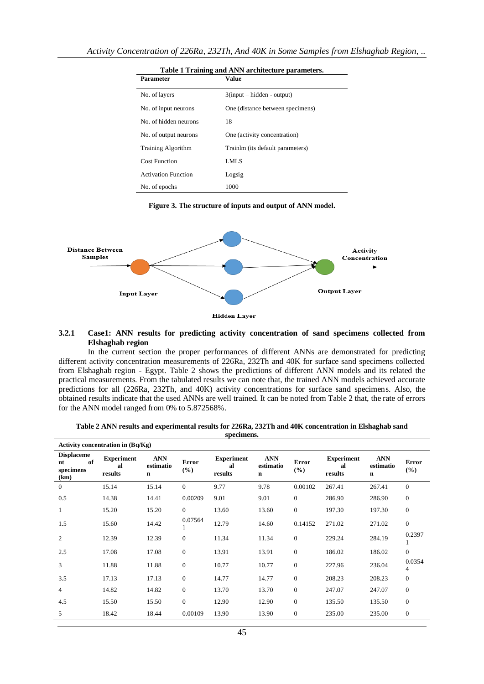| Parameter                  | Table 1 Training and Alviv architecture parameters.<br><b>Value</b> |
|----------------------------|---------------------------------------------------------------------|
| No. of layers              | $3$ (input – hidden - output)                                       |
| No. of input neurons       | One (distance between specimens)                                    |
| No. of hidden neurons      | 18                                                                  |
| No. of output neurons      | One (activity concentration)                                        |
| Training Algorithm         | Trainlm (its default parameters)                                    |
| <b>Cost Function</b>       | LMLS                                                                |
| <b>Activation Function</b> | Logsig                                                              |
| No. of epochs              | 1000                                                                |

**Table 1 Training and ANN architecture parameters.**





## **3.2.1 Case1: ANN results for predicting activity concentration of sand specimens collected from Elshaghab region**

In the current section the proper performances of different ANNs are demonstrated for predicting different activity concentration measurements of 226Ra, 232Th and 40K for surface sand specimens collected from Elshaghab region - Egypt. Table 2 shows the predictions of different ANN models and its related the practical measurements. From the tabulated results we can note that, the trained ANN models achieved accurate predictions for all (226Ra, 232Th, and 40K) activity concentrations for surface sand specimens. Also, the obtained results indicate that the used ANNs are well trained. It can be noted from Table 2 that, the rate of errors for the ANN model ranged from 0% to 5.872568%.

**Table 2 ANN results and experimental results for 226Ra, 232Th and 40K concentration in Elshaghab sand specimens.**

| <b>Activity concentration in (Bq/Kg)</b>           |                                    |                                        |                     |                                    |                              |                     |                                    |                                        |                        |
|----------------------------------------------------|------------------------------------|----------------------------------------|---------------------|------------------------------------|------------------------------|---------------------|------------------------------------|----------------------------------------|------------------------|
| <b>Displaceme</b><br>of<br>nt<br>specimens<br>(km) | <b>Experiment</b><br>al<br>results | <b>ANN</b><br>estimatio<br>$\mathbf n$ | <b>Error</b><br>(%) | <b>Experiment</b><br>al<br>results | <b>ANN</b><br>estimatio<br>n | <b>Error</b><br>(%) | <b>Experiment</b><br>al<br>results | <b>ANN</b><br>estimatio<br>$\mathbf n$ | <b>Error</b><br>$(\%)$ |
| $\mathbf{0}$                                       | 15.14                              | 15.14                                  | $\Omega$            | 9.77                               | 9.78                         | 0.00102             | 267.41                             | 267.41                                 | $\mathbf{0}$           |
| 0.5                                                | 14.38                              | 14.41                                  | 0.00209             | 9.01                               | 9.01                         | $\boldsymbol{0}$    | 286.90                             | 286.90                                 | $\boldsymbol{0}$       |
| 1                                                  | 15.20                              | 15.20                                  | $\overline{0}$      | 13.60                              | 13.60                        | $\mathbf{0}$        | 197.30                             | 197.30                                 | $\boldsymbol{0}$       |
| 1.5                                                | 15.60                              | 14.42                                  | 0.07564             | 12.79                              | 14.60                        | 0.14152             | 271.02                             | 271.02                                 | $\boldsymbol{0}$       |
| $\overline{c}$                                     | 12.39                              | 12.39                                  | $\mathbf{0}$        | 11.34                              | 11.34                        | $\mathbf{0}$        | 229.24                             | 284.19                                 | 0.2397                 |
| 2.5                                                | 17.08                              | 17.08                                  | $\mathbf{0}$        | 13.91                              | 13.91                        | $\mathbf{0}$        | 186.02                             | 186.02                                 | $\boldsymbol{0}$       |
| 3                                                  | 11.88                              | 11.88                                  | $\mathbf{0}$        | 10.77                              | 10.77                        | $\boldsymbol{0}$    | 227.96                             | 236.04                                 | 0.0354<br>4            |
| 3.5                                                | 17.13                              | 17.13                                  | $\overline{0}$      | 14.77                              | 14.77                        | $\mathbf{0}$        | 208.23                             | 208.23                                 | $\mathbf{0}$           |
| 4                                                  | 14.82                              | 14.82                                  | $\overline{0}$      | 13.70                              | 13.70                        | $\theta$            | 247.07                             | 247.07                                 | $\boldsymbol{0}$       |
| 4.5                                                | 15.50                              | 15.50                                  | $\overline{0}$      | 12.90                              | 12.90                        | $\theta$            | 135.50                             | 135.50                                 | $\boldsymbol{0}$       |
| 5                                                  | 18.42                              | 18.44                                  | 0.00109             | 13.90                              | 13.90                        | $\boldsymbol{0}$    | 235.00                             | 235.00                                 | $\boldsymbol{0}$       |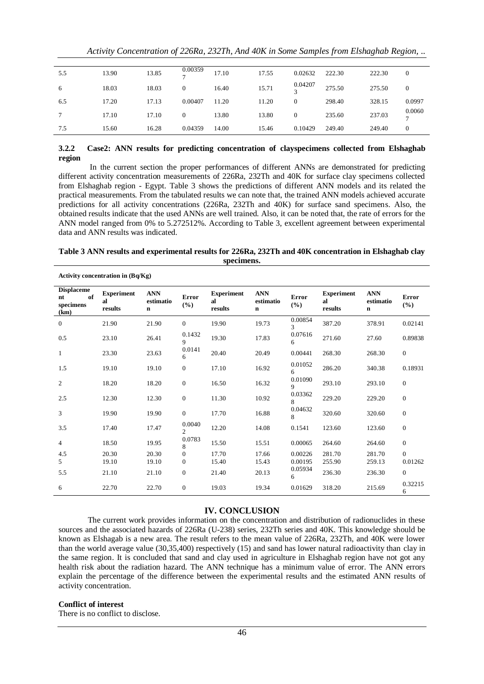| 5.5             | 13.90 | 13.85 | 0.00359<br>$\overline{ }$ | 17.10 | 17.55 | 0.02632                 | 222.30 | 222.30 | $\mathbf{0}$             |
|-----------------|-------|-------|---------------------------|-------|-------|-------------------------|--------|--------|--------------------------|
| 6               | 18.03 | 18.03 | $\overline{0}$            | 16.40 | 15.71 | 0.04207<br>$\mathbf{r}$ | 275.50 | 275.50 | $\mathbf{0}$             |
| 6.5             | 17.20 | 17.13 | 0.00407                   | 11.20 | 11.20 | $\mathbf{0}$            | 298.40 | 328.15 | 0.0997                   |
| $7\phantom{.0}$ | 17.10 | 17.10 | $\mathbf{0}$              | 13.80 | 13.80 | $\theta$                | 235.60 | 237.03 | 0.0060<br>$\overline{z}$ |
| 7.5             | 15.60 | 16.28 | 0.04359                   | 14.00 | 15.46 | 0.10429                 | 249.40 | 249.40 | 0                        |

## **3.2.2 Case2: ANN results for predicting concentration of clayspecimens collected from Elshaghab region**

In the current section the proper performances of different ANNs are demonstrated for predicting different activity concentration measurements of 226Ra, 232Th and 40K for surface clay specimens collected from Elshaghab region - Egypt. Table 3 shows the predictions of different ANN models and its related the practical measurements. From the tabulated results we can note that, the trained ANN models achieved accurate predictions for all activity concentrations (226Ra, 232Th and 40K) for surface sand specimens. Also, the obtained results indicate that the used ANNs are well trained. Also, it can be noted that, the rate of errors for the ANN model ranged from 0% to 5.272512%. According to Table 3, excellent agreement between experimental data and ANN results was indicated.

#### **Table 3 ANN results and experimental results for 226Ra, 232Th and 40K concentration in Elshaghab clay specimens.**

| Activity concentration in $(Bq/Kg)$                |                                    |                                        |                          |                                    |                                        |                 |                                    |                                        |                        |
|----------------------------------------------------|------------------------------------|----------------------------------------|--------------------------|------------------------------------|----------------------------------------|-----------------|------------------------------------|----------------------------------------|------------------------|
| <b>Displaceme</b><br>of<br>nt<br>specimens<br>(km) | <b>Experiment</b><br>al<br>results | <b>ANN</b><br>estimatio<br>$\mathbf n$ | <b>Error</b><br>$(\%)$   | <b>Experiment</b><br>al<br>results | <b>ANN</b><br>estimatio<br>$\mathbf n$ | Error<br>$(\%)$ | <b>Experiment</b><br>al<br>results | <b>ANN</b><br>estimatio<br>$\mathbf n$ | <b>Error</b><br>$(\%)$ |
| $\mathbf{0}$                                       | 21.90                              | 21.90                                  | $\overline{0}$           | 19.90                              | 19.73                                  | 0.00854<br>3    | 387.20                             | 378.91                                 | 0.02141                |
| 0.5                                                | 23.10                              | 26.41                                  | 0.1432<br>9              | 19.30                              | 17.83                                  | 0.07616<br>6    | 271.60                             | 27.60                                  | 0.89838                |
| $\mathbf{1}$                                       | 23.30                              | 23.63                                  | 0.0141<br>6              | 20.40                              | 20.49                                  | 0.00441         | 268.30                             | 268.30                                 | $\mathbf{0}$           |
| 1.5                                                | 19.10                              | 19.10                                  | $\mathbf{0}$             | 17.10                              | 16.92                                  | 0.01052<br>6    | 286.20                             | 340.38                                 | 0.18931                |
| $\overline{2}$                                     | 18.20                              | 18.20                                  | $\mathbf{0}$             | 16.50                              | 16.32                                  | 0.01090<br>9    | 293.10                             | 293.10                                 | $\mathbf{0}$           |
| 2.5                                                | 12.30                              | 12.30                                  | $\boldsymbol{0}$         | 11.30                              | 10.92                                  | 0.03362<br>8    | 229.20                             | 229.20                                 | $\boldsymbol{0}$       |
| 3                                                  | 19.90                              | 19.90                                  | $\mathbf{0}$             | 17.70                              | 16.88                                  | 0.04632<br>8    | 320.60                             | 320.60                                 | $\boldsymbol{0}$       |
| 3.5                                                | 17.40                              | 17.47                                  | 0.0040<br>$\overline{2}$ | 12.20                              | 14.08                                  | 0.1541          | 123.60                             | 123.60                                 | $\mathbf{0}$           |
| $\overline{4}$                                     | 18.50                              | 19.95                                  | 0.0783<br>8              | 15.50                              | 15.51                                  | 0.00065         | 264.60                             | 264.60                                 | $\mathbf{0}$           |
| 4.5                                                | 20.30                              | 20.30                                  | $\overline{0}$           | 17.70                              | 17.66                                  | 0.00226         | 281.70                             | 281.70                                 | $\mathbf{0}$           |
| 5                                                  | 19.10                              | 19.10                                  | $\boldsymbol{0}$         | 15.40                              | 15.43                                  | 0.00195         | 255.90                             | 259.13                                 | 0.01262                |
| 5.5                                                | 21.10                              | 21.10                                  | $\mathbf{0}$             | 21.40                              | 20.13                                  | 0.05934<br>6    | 236.30                             | 236.30                                 | $\mathbf{0}$           |
| 6                                                  | 22.70                              | 22.70                                  | $\mathbf{0}$             | 19.03                              | 19.34                                  | 0.01629         | 318.20                             | 215.69                                 | 0.32215<br>6           |

## **IV. CONCLUSION**

The current work provides information on the concentration and distribution of radionuclides in these sources and the associated hazards of 226Ra (U-238) series, 232Th series and 40K. This knowledge should be known as Elshagab is a new area. The result refers to the mean value of 226Ra, 232Th, and 40K were lower than the world average value (30,35,400) respectively (15) and sand has lower natural radioactivity than clay in the same region. It is concluded that sand and clay used in agriculture in Elshaghab region have not got any health risk about the radiation hazard. The ANN technique has a minimum value of error. The ANN errors explain the percentage of the difference between the experimental results and the estimated ANN results of activity concentration.

#### **Conflict of interest**

There is no conflict to disclose.